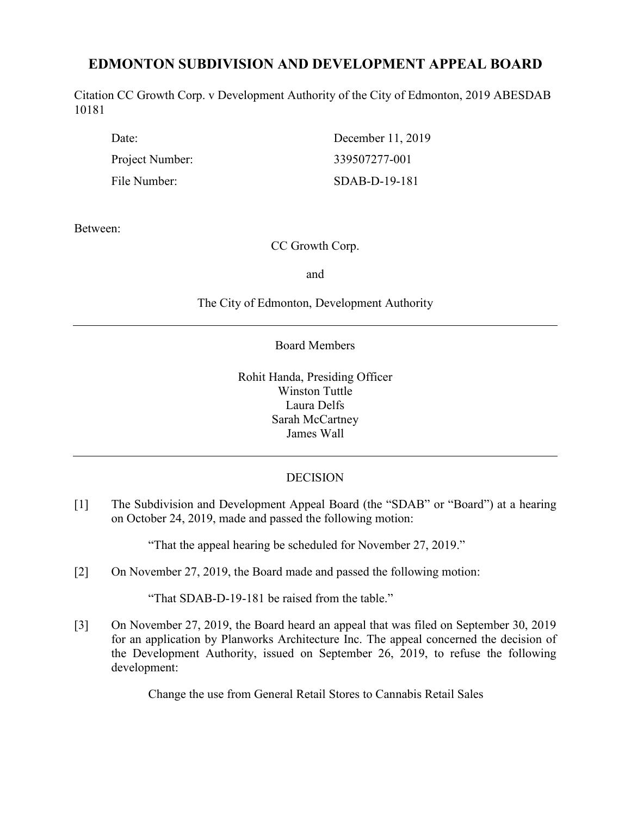# **EDMONTON SUBDIVISION AND DEVELOPMENT APPEAL BOARD**

Citation CC Growth Corp. v Development Authority of the City of Edmonton, 2019 ABESDAB 10181

Project Number: 339507277-001

Date: December 11, 2019 File Number: SDAB-D-19-181

Between:

# CC Growth Corp.

and

The City of Edmonton, Development Authority

Board Members

Rohit Handa, Presiding Officer Winston Tuttle Laura Delfs Sarah McCartney James Wall

# **DECISION**

[1] The Subdivision and Development Appeal Board (the "SDAB" or "Board") at a hearing on October 24, 2019, made and passed the following motion:

"That the appeal hearing be scheduled for November 27, 2019."

[2] On November 27, 2019, the Board made and passed the following motion:

"That SDAB-D-19-181 be raised from the table."

[3] On November 27, 2019, the Board heard an appeal that was filed on September 30, 2019 for an application by Planworks Architecture Inc. The appeal concerned the decision of the Development Authority, issued on September 26, 2019, to refuse the following development:

Change the use from General Retail Stores to Cannabis Retail Sales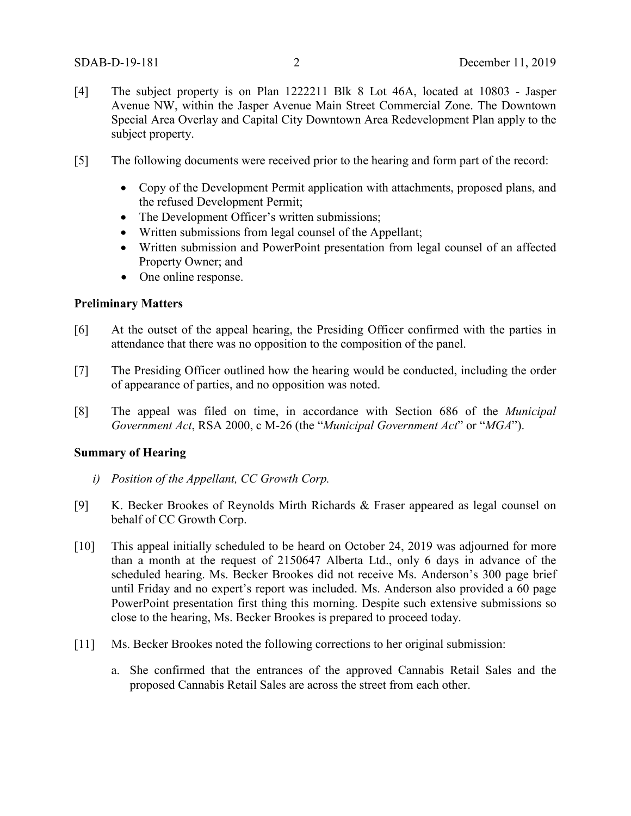- [4] The subject property is on Plan 1222211 Blk 8 Lot 46A, located at 10803 Jasper Avenue NW, within the Jasper Avenue Main Street Commercial Zone. The Downtown Special Area Overlay and Capital City Downtown Area Redevelopment Plan apply to the subject property.
- [5] The following documents were received prior to the hearing and form part of the record:
	- Copy of the Development Permit application with attachments, proposed plans, and the refused Development Permit;
	- The Development Officer's written submissions;
	- Written submissions from legal counsel of the Appellant;
	- Written submission and PowerPoint presentation from legal counsel of an affected Property Owner; and
	- One online response.

### **Preliminary Matters**

- [6] At the outset of the appeal hearing, the Presiding Officer confirmed with the parties in attendance that there was no opposition to the composition of the panel.
- [7] The Presiding Officer outlined how the hearing would be conducted, including the order of appearance of parties, and no opposition was noted.
- [8] The appeal was filed on time, in accordance with Section 686 of the *Municipal Government Act*, RSA 2000, c M-26 (the "*Municipal Government Act*" or "*MGA*").

# **Summary of Hearing**

- *i) Position of the Appellant, CC Growth Corp.*
- [9] K. Becker Brookes of Reynolds Mirth Richards & Fraser appeared as legal counsel on behalf of CC Growth Corp.
- [10] This appeal initially scheduled to be heard on October 24, 2019 was adjourned for more than a month at the request of 2150647 Alberta Ltd., only 6 days in advance of the scheduled hearing. Ms. Becker Brookes did not receive Ms. Anderson's 300 page brief until Friday and no expert's report was included. Ms. Anderson also provided a 60 page PowerPoint presentation first thing this morning. Despite such extensive submissions so close to the hearing, Ms. Becker Brookes is prepared to proceed today.
- [11] Ms. Becker Brookes noted the following corrections to her original submission:
	- a. She confirmed that the entrances of the approved Cannabis Retail Sales and the proposed Cannabis Retail Sales are across the street from each other.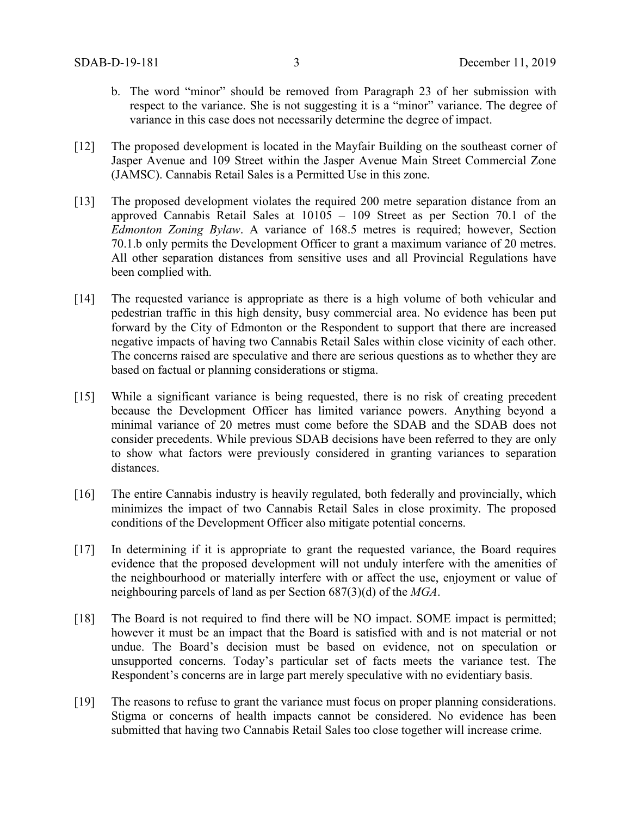- b. The word "minor" should be removed from Paragraph 23 of her submission with respect to the variance. She is not suggesting it is a "minor" variance. The degree of variance in this case does not necessarily determine the degree of impact.
- [12] The proposed development is located in the Mayfair Building on the southeast corner of Jasper Avenue and 109 Street within the Jasper Avenue Main Street Commercial Zone (JAMSC). Cannabis Retail Sales is a Permitted Use in this zone.
- [13] The proposed development violates the required 200 metre separation distance from an approved Cannabis Retail Sales at 10105 – 109 Street as per Section 70.1 of the *Edmonton Zoning Bylaw*. A variance of 168.5 metres is required; however, Section 70.1.b only permits the Development Officer to grant a maximum variance of 20 metres. All other separation distances from sensitive uses and all Provincial Regulations have been complied with.
- [14] The requested variance is appropriate as there is a high volume of both vehicular and pedestrian traffic in this high density, busy commercial area. No evidence has been put forward by the City of Edmonton or the Respondent to support that there are increased negative impacts of having two Cannabis Retail Sales within close vicinity of each other. The concerns raised are speculative and there are serious questions as to whether they are based on factual or planning considerations or stigma.
- [15] While a significant variance is being requested, there is no risk of creating precedent because the Development Officer has limited variance powers. Anything beyond a minimal variance of 20 metres must come before the SDAB and the SDAB does not consider precedents. While previous SDAB decisions have been referred to they are only to show what factors were previously considered in granting variances to separation distances.
- [16] The entire Cannabis industry is heavily regulated, both federally and provincially, which minimizes the impact of two Cannabis Retail Sales in close proximity. The proposed conditions of the Development Officer also mitigate potential concerns.
- [17] In determining if it is appropriate to grant the requested variance, the Board requires evidence that the proposed development will not unduly interfere with the amenities of the neighbourhood or materially interfere with or affect the use, enjoyment or value of neighbouring parcels of land as per Section 687(3)(d) of the *MGA*.
- [18] The Board is not required to find there will be NO impact. SOME impact is permitted; however it must be an impact that the Board is satisfied with and is not material or not undue. The Board's decision must be based on evidence, not on speculation or unsupported concerns. Today's particular set of facts meets the variance test. The Respondent's concerns are in large part merely speculative with no evidentiary basis.
- [19] The reasons to refuse to grant the variance must focus on proper planning considerations. Stigma or concerns of health impacts cannot be considered. No evidence has been submitted that having two Cannabis Retail Sales too close together will increase crime.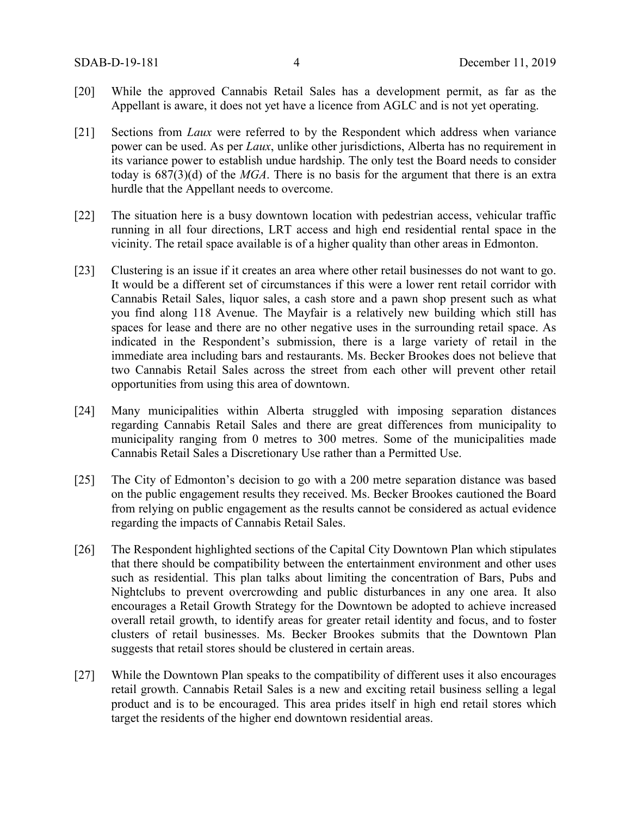- [20] While the approved Cannabis Retail Sales has a development permit, as far as the Appellant is aware, it does not yet have a licence from AGLC and is not yet operating.
- [21] Sections from *Laux* were referred to by the Respondent which address when variance power can be used. As per *Laux*, unlike other jurisdictions, Alberta has no requirement in its variance power to establish undue hardship. The only test the Board needs to consider today is 687(3)(d) of the *MGA*. There is no basis for the argument that there is an extra hurdle that the Appellant needs to overcome.
- [22] The situation here is a busy downtown location with pedestrian access, vehicular traffic running in all four directions, LRT access and high end residential rental space in the vicinity. The retail space available is of a higher quality than other areas in Edmonton.
- [23] Clustering is an issue if it creates an area where other retail businesses do not want to go. It would be a different set of circumstances if this were a lower rent retail corridor with Cannabis Retail Sales, liquor sales, a cash store and a pawn shop present such as what you find along 118 Avenue. The Mayfair is a relatively new building which still has spaces for lease and there are no other negative uses in the surrounding retail space. As indicated in the Respondent's submission, there is a large variety of retail in the immediate area including bars and restaurants. Ms. Becker Brookes does not believe that two Cannabis Retail Sales across the street from each other will prevent other retail opportunities from using this area of downtown.
- [24] Many municipalities within Alberta struggled with imposing separation distances regarding Cannabis Retail Sales and there are great differences from municipality to municipality ranging from 0 metres to 300 metres. Some of the municipalities made Cannabis Retail Sales a Discretionary Use rather than a Permitted Use.
- [25] The City of Edmonton's decision to go with a 200 metre separation distance was based on the public engagement results they received. Ms. Becker Brookes cautioned the Board from relying on public engagement as the results cannot be considered as actual evidence regarding the impacts of Cannabis Retail Sales.
- [26] The Respondent highlighted sections of the Capital City Downtown Plan which stipulates that there should be compatibility between the entertainment environment and other uses such as residential. This plan talks about limiting the concentration of Bars, Pubs and Nightclubs to prevent overcrowding and public disturbances in any one area. It also encourages a Retail Growth Strategy for the Downtown be adopted to achieve increased overall retail growth, to identify areas for greater retail identity and focus, and to foster clusters of retail businesses. Ms. Becker Brookes submits that the Downtown Plan suggests that retail stores should be clustered in certain areas.
- [27] While the Downtown Plan speaks to the compatibility of different uses it also encourages retail growth. Cannabis Retail Sales is a new and exciting retail business selling a legal product and is to be encouraged. This area prides itself in high end retail stores which target the residents of the higher end downtown residential areas.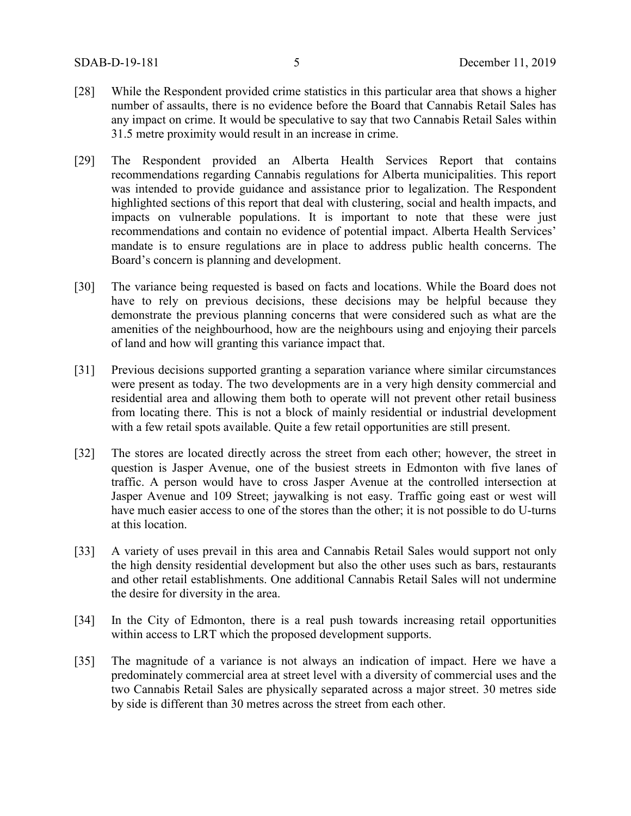- [28] While the Respondent provided crime statistics in this particular area that shows a higher number of assaults, there is no evidence before the Board that Cannabis Retail Sales has any impact on crime. It would be speculative to say that two Cannabis Retail Sales within 31.5 metre proximity would result in an increase in crime.
- [29] The Respondent provided an Alberta Health Services Report that contains recommendations regarding Cannabis regulations for Alberta municipalities. This report was intended to provide guidance and assistance prior to legalization. The Respondent highlighted sections of this report that deal with clustering, social and health impacts, and impacts on vulnerable populations. It is important to note that these were just recommendations and contain no evidence of potential impact. Alberta Health Services' mandate is to ensure regulations are in place to address public health concerns. The Board's concern is planning and development.
- [30] The variance being requested is based on facts and locations. While the Board does not have to rely on previous decisions, these decisions may be helpful because they demonstrate the previous planning concerns that were considered such as what are the amenities of the neighbourhood, how are the neighbours using and enjoying their parcels of land and how will granting this variance impact that.
- [31] Previous decisions supported granting a separation variance where similar circumstances were present as today. The two developments are in a very high density commercial and residential area and allowing them both to operate will not prevent other retail business from locating there. This is not a block of mainly residential or industrial development with a few retail spots available. Quite a few retail opportunities are still present.
- [32] The stores are located directly across the street from each other; however, the street in question is Jasper Avenue, one of the busiest streets in Edmonton with five lanes of traffic. A person would have to cross Jasper Avenue at the controlled intersection at Jasper Avenue and 109 Street; jaywalking is not easy. Traffic going east or west will have much easier access to one of the stores than the other; it is not possible to do U-turns at this location.
- [33] A variety of uses prevail in this area and Cannabis Retail Sales would support not only the high density residential development but also the other uses such as bars, restaurants and other retail establishments. One additional Cannabis Retail Sales will not undermine the desire for diversity in the area.
- [34] In the City of Edmonton, there is a real push towards increasing retail opportunities within access to LRT which the proposed development supports.
- [35] The magnitude of a variance is not always an indication of impact. Here we have a predominately commercial area at street level with a diversity of commercial uses and the two Cannabis Retail Sales are physically separated across a major street. 30 metres side by side is different than 30 metres across the street from each other.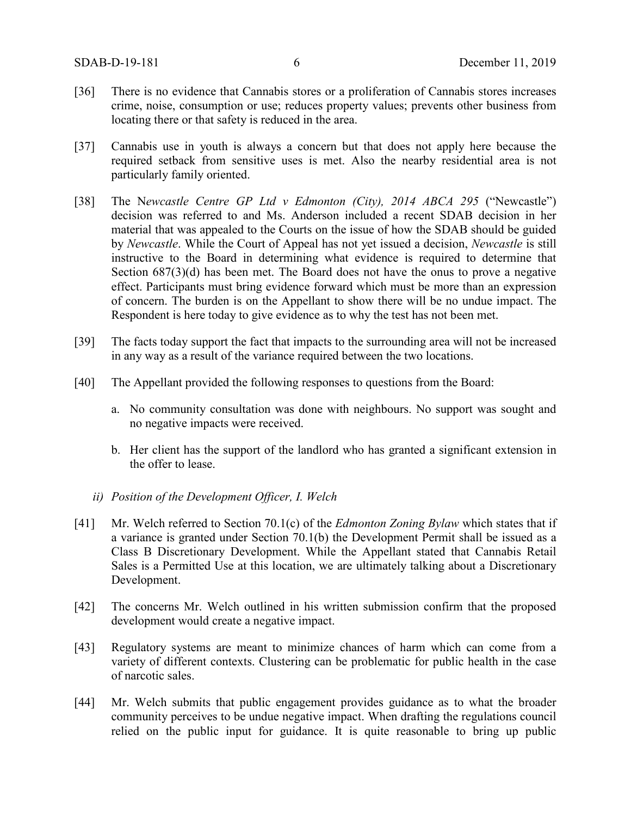- [36] There is no evidence that Cannabis stores or a proliferation of Cannabis stores increases crime, noise, consumption or use; reduces property values; prevents other business from locating there or that safety is reduced in the area.
- [37] Cannabis use in youth is always a concern but that does not apply here because the required setback from sensitive uses is met. Also the nearby residential area is not particularly family oriented.
- [38] The N*ewcastle Centre GP Ltd v Edmonton (City), 2014 ABCA 295* ("Newcastle") decision was referred to and Ms. Anderson included a recent SDAB decision in her material that was appealed to the Courts on the issue of how the SDAB should be guided by *Newcastle*. While the Court of Appeal has not yet issued a decision, *Newcastle* is still instructive to the Board in determining what evidence is required to determine that Section 687(3)(d) has been met. The Board does not have the onus to prove a negative effect. Participants must bring evidence forward which must be more than an expression of concern. The burden is on the Appellant to show there will be no undue impact. The Respondent is here today to give evidence as to why the test has not been met.
- [39] The facts today support the fact that impacts to the surrounding area will not be increased in any way as a result of the variance required between the two locations.
- [40] The Appellant provided the following responses to questions from the Board:
	- a. No community consultation was done with neighbours. No support was sought and no negative impacts were received.
	- b. Her client has the support of the landlord who has granted a significant extension in the offer to lease.
	- *ii) Position of the Development Officer, I. Welch*
- [41] Mr. Welch referred to Section 70.1(c) of the *Edmonton Zoning Bylaw* which states that if a variance is granted under Section 70.1(b) the Development Permit shall be issued as a Class B Discretionary Development. While the Appellant stated that Cannabis Retail Sales is a Permitted Use at this location, we are ultimately talking about a Discretionary Development.
- [42] The concerns Mr. Welch outlined in his written submission confirm that the proposed development would create a negative impact.
- [43] Regulatory systems are meant to minimize chances of harm which can come from a variety of different contexts. Clustering can be problematic for public health in the case of narcotic sales.
- [44] Mr. Welch submits that public engagement provides guidance as to what the broader community perceives to be undue negative impact. When drafting the regulations council relied on the public input for guidance. It is quite reasonable to bring up public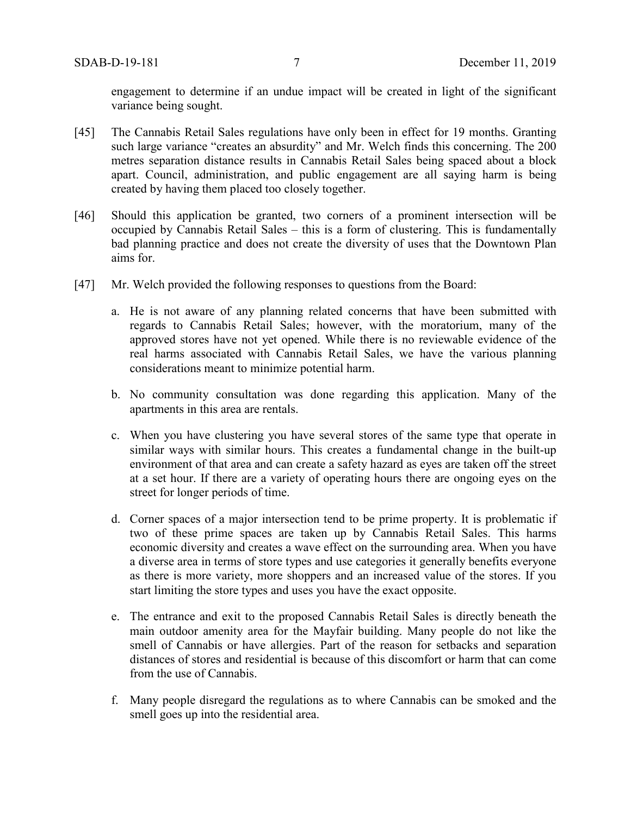engagement to determine if an undue impact will be created in light of the significant variance being sought.

- [45] The Cannabis Retail Sales regulations have only been in effect for 19 months. Granting such large variance "creates an absurdity" and Mr. Welch finds this concerning. The 200 metres separation distance results in Cannabis Retail Sales being spaced about a block apart. Council, administration, and public engagement are all saying harm is being created by having them placed too closely together.
- [46] Should this application be granted, two corners of a prominent intersection will be occupied by Cannabis Retail Sales – this is a form of clustering. This is fundamentally bad planning practice and does not create the diversity of uses that the Downtown Plan aims for.
- [47] Mr. Welch provided the following responses to questions from the Board:
	- a. He is not aware of any planning related concerns that have been submitted with regards to Cannabis Retail Sales; however, with the moratorium, many of the approved stores have not yet opened. While there is no reviewable evidence of the real harms associated with Cannabis Retail Sales, we have the various planning considerations meant to minimize potential harm.
	- b. No community consultation was done regarding this application. Many of the apartments in this area are rentals.
	- c. When you have clustering you have several stores of the same type that operate in similar ways with similar hours. This creates a fundamental change in the built-up environment of that area and can create a safety hazard as eyes are taken off the street at a set hour. If there are a variety of operating hours there are ongoing eyes on the street for longer periods of time.
	- d. Corner spaces of a major intersection tend to be prime property. It is problematic if two of these prime spaces are taken up by Cannabis Retail Sales. This harms economic diversity and creates a wave effect on the surrounding area. When you have a diverse area in terms of store types and use categories it generally benefits everyone as there is more variety, more shoppers and an increased value of the stores. If you start limiting the store types and uses you have the exact opposite.
	- e. The entrance and exit to the proposed Cannabis Retail Sales is directly beneath the main outdoor amenity area for the Mayfair building. Many people do not like the smell of Cannabis or have allergies. Part of the reason for setbacks and separation distances of stores and residential is because of this discomfort or harm that can come from the use of Cannabis.
	- f. Many people disregard the regulations as to where Cannabis can be smoked and the smell goes up into the residential area.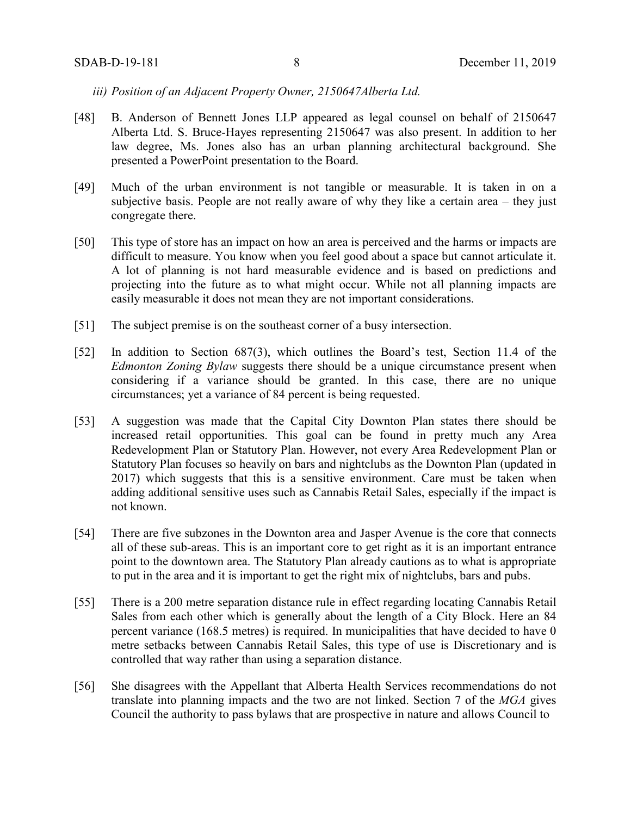*iii) Position of an Adjacent Property Owner, 2150647Alberta Ltd.*

- [48] B. Anderson of Bennett Jones LLP appeared as legal counsel on behalf of 2150647 Alberta Ltd. S. Bruce-Hayes representing 2150647 was also present. In addition to her law degree, Ms. Jones also has an urban planning architectural background. She presented a PowerPoint presentation to the Board.
- [49] Much of the urban environment is not tangible or measurable. It is taken in on a subjective basis. People are not really aware of why they like a certain area – they just congregate there.
- [50] This type of store has an impact on how an area is perceived and the harms or impacts are difficult to measure. You know when you feel good about a space but cannot articulate it. A lot of planning is not hard measurable evidence and is based on predictions and projecting into the future as to what might occur. While not all planning impacts are easily measurable it does not mean they are not important considerations.
- [51] The subject premise is on the southeast corner of a busy intersection.
- [52] In addition to Section 687(3), which outlines the Board's test, Section 11.4 of the *Edmonton Zoning Bylaw* suggests there should be a unique circumstance present when considering if a variance should be granted. In this case, there are no unique circumstances; yet a variance of 84 percent is being requested.
- [53] A suggestion was made that the Capital City Downton Plan states there should be increased retail opportunities. This goal can be found in pretty much any Area Redevelopment Plan or Statutory Plan. However, not every Area Redevelopment Plan or Statutory Plan focuses so heavily on bars and nightclubs as the Downton Plan (updated in 2017) which suggests that this is a sensitive environment. Care must be taken when adding additional sensitive uses such as Cannabis Retail Sales, especially if the impact is not known.
- [54] There are five subzones in the Downton area and Jasper Avenue is the core that connects all of these sub-areas. This is an important core to get right as it is an important entrance point to the downtown area. The Statutory Plan already cautions as to what is appropriate to put in the area and it is important to get the right mix of nightclubs, bars and pubs.
- [55] There is a 200 metre separation distance rule in effect regarding locating Cannabis Retail Sales from each other which is generally about the length of a City Block. Here an 84 percent variance (168.5 metres) is required. In municipalities that have decided to have 0 metre setbacks between Cannabis Retail Sales, this type of use is Discretionary and is controlled that way rather than using a separation distance.
- [56] She disagrees with the Appellant that Alberta Health Services recommendations do not translate into planning impacts and the two are not linked. Section 7 of the *MGA* gives Council the authority to pass bylaws that are prospective in nature and allows Council to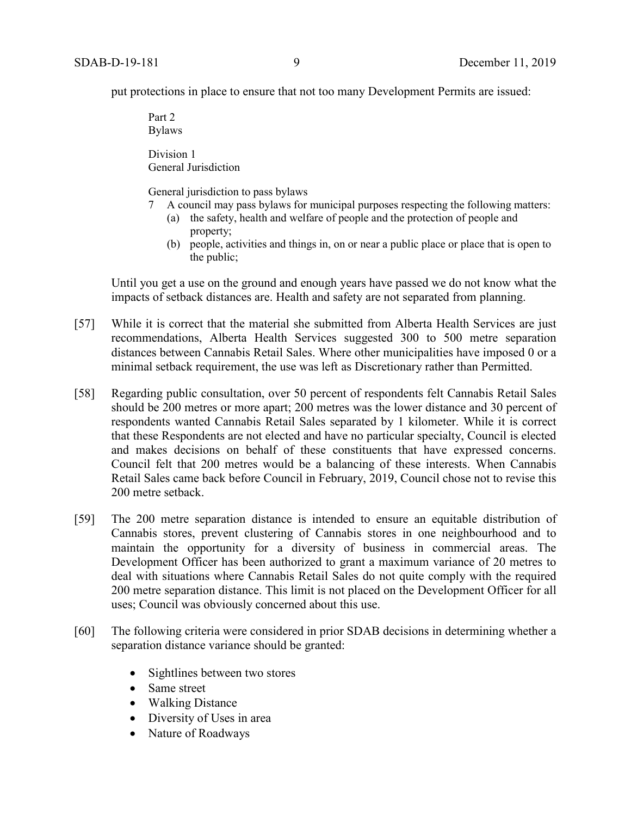put protections in place to ensure that not too many Development Permits are issued:

Part 2 Bylaws

Division 1 General Jurisdiction

General jurisdiction to pass bylaws

- 7 A council may pass bylaws for municipal purposes respecting the following matters:
	- (a) the safety, health and welfare of people and the protection of people and property;
		- (b) people, activities and things in, on or near a public place or place that is open to the public;

Until you get a use on the ground and enough years have passed we do not know what the impacts of setback distances are. Health and safety are not separated from planning.

- [57] While it is correct that the material she submitted from Alberta Health Services are just recommendations, Alberta Health Services suggested 300 to 500 metre separation distances between Cannabis Retail Sales. Where other municipalities have imposed 0 or a minimal setback requirement, the use was left as Discretionary rather than Permitted.
- [58] Regarding public consultation, over 50 percent of respondents felt Cannabis Retail Sales should be 200 metres or more apart; 200 metres was the lower distance and 30 percent of respondents wanted Cannabis Retail Sales separated by 1 kilometer. While it is correct that these Respondents are not elected and have no particular specialty, Council is elected and makes decisions on behalf of these constituents that have expressed concerns. Council felt that 200 metres would be a balancing of these interests. When Cannabis Retail Sales came back before Council in February, 2019, Council chose not to revise this 200 metre setback.
- [59] The 200 metre separation distance is intended to ensure an equitable distribution of Cannabis stores, prevent clustering of Cannabis stores in one neighbourhood and to maintain the opportunity for a diversity of business in commercial areas. The Development Officer has been authorized to grant a maximum variance of 20 metres to deal with situations where Cannabis Retail Sales do not quite comply with the required 200 metre separation distance. This limit is not placed on the Development Officer for all uses; Council was obviously concerned about this use.
- [60] The following criteria were considered in prior SDAB decisions in determining whether a separation distance variance should be granted:
	- Sightlines between two stores
	- Same street
	- Walking Distance
	- Diversity of Uses in area
	- Nature of Roadways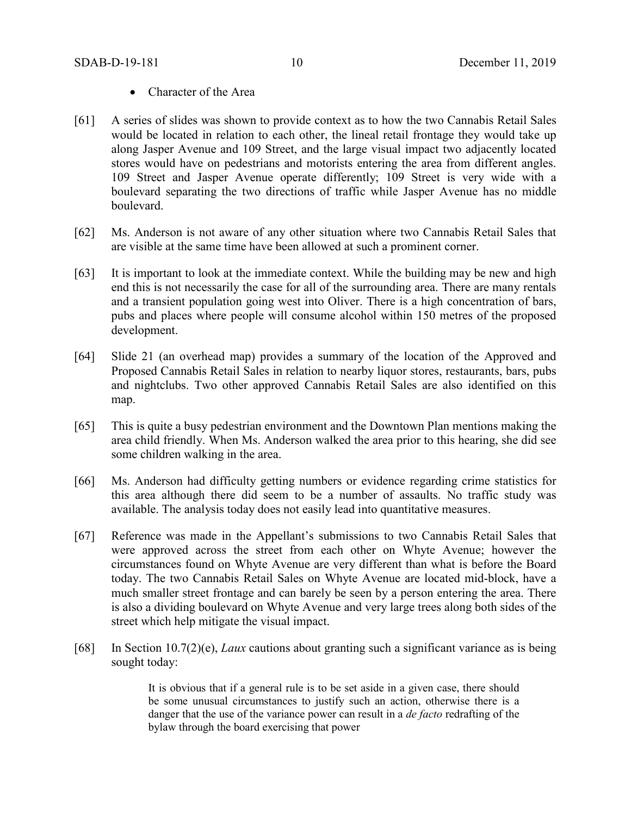- Character of the Area
- [61] A series of slides was shown to provide context as to how the two Cannabis Retail Sales would be located in relation to each other, the lineal retail frontage they would take up along Jasper Avenue and 109 Street, and the large visual impact two adjacently located stores would have on pedestrians and motorists entering the area from different angles. 109 Street and Jasper Avenue operate differently; 109 Street is very wide with a boulevard separating the two directions of traffic while Jasper Avenue has no middle boulevard.
- [62] Ms. Anderson is not aware of any other situation where two Cannabis Retail Sales that are visible at the same time have been allowed at such a prominent corner.
- [63] It is important to look at the immediate context. While the building may be new and high end this is not necessarily the case for all of the surrounding area. There are many rentals and a transient population going west into Oliver. There is a high concentration of bars, pubs and places where people will consume alcohol within 150 metres of the proposed development.
- [64] Slide 21 (an overhead map) provides a summary of the location of the Approved and Proposed Cannabis Retail Sales in relation to nearby liquor stores, restaurants, bars, pubs and nightclubs. Two other approved Cannabis Retail Sales are also identified on this map.
- [65] This is quite a busy pedestrian environment and the Downtown Plan mentions making the area child friendly. When Ms. Anderson walked the area prior to this hearing, she did see some children walking in the area.
- [66] Ms. Anderson had difficulty getting numbers or evidence regarding crime statistics for this area although there did seem to be a number of assaults. No traffic study was available. The analysis today does not easily lead into quantitative measures.
- [67] Reference was made in the Appellant's submissions to two Cannabis Retail Sales that were approved across the street from each other on Whyte Avenue; however the circumstances found on Whyte Avenue are very different than what is before the Board today. The two Cannabis Retail Sales on Whyte Avenue are located mid-block, have a much smaller street frontage and can barely be seen by a person entering the area. There is also a dividing boulevard on Whyte Avenue and very large trees along both sides of the street which help mitigate the visual impact.
- [68] In Section 10.7(2)(e), *Laux* cautions about granting such a significant variance as is being sought today:

It is obvious that if a general rule is to be set aside in a given case, there should be some unusual circumstances to justify such an action, otherwise there is a danger that the use of the variance power can result in a *de facto* redrafting of the bylaw through the board exercising that power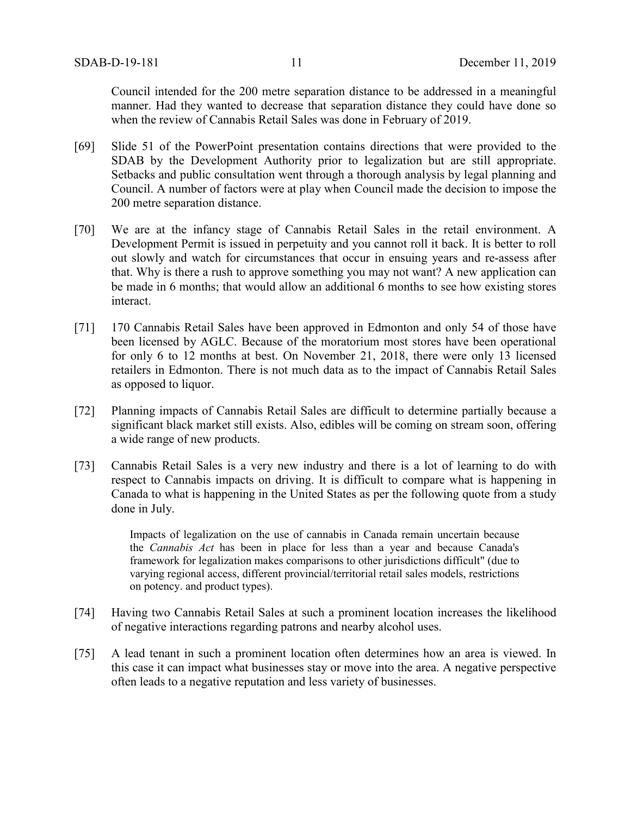Council intended for the 200 metre separation distance to be addressed in a meaningful manner. Had they wanted to decrease that separation distance they could have done so when the review of Cannabis Retail Sales was done in February of 2019.

- [69] Slide 51 of the PowerPoint presentation contains directions that were provided to the SDAB by the Development Authority prior to legalization but are still appropriate. Setbacks and public consultation went through a thorough analysis by legal planning and Council. A number of factors were at play when Council made the decision to impose the 200 metre separation distance.
- [70] We are at the infancy stage of Cannabis Retail Sales in the retail environment. A Development Permit is issued in perpetuity and you cannot roll it back. It is better to roll out slowly and watch for circumstances that occur in ensuing years and re-assess after that. Why is there a rush to approve something you may not want? A new application can be made in 6 months; that would allow an additional 6 months to see how existing stores interact.
- [71] 170 Cannabis Retail Sales have been approved in Edmonton and only 54 of those have been licensed by AGLC. Because of the moratorium most stores have been operational for only 6 to 12 months at best. On November 21, 2018, there were only 13 licensed retailers in Edmonton. There is not much data as to the impact of Cannabis Retail Sales as opposed to liquor.
- [72] Planning impacts of Cannabis Retail Sales are difficult to determine partially because a significant black market still exists. Also, edibles will be coming on stream soon, offering a wide range of new products.
- [73] Cannabis Retail Sales is a very new industry and there is a lot of learning to do with respect to Cannabis impacts on driving. It is difficult to compare what is happening in Canada to what is happening in the United States as per the following quote from a study done in July.

Impacts of legalization on the use of cannabis in Canada remain uncertain because the *Cannabis Act* has been in place for less than a year and because Canada's framework for legalization makes comparisons to other jurisdictions difficult" (due to varying regional access, different provincial/territorial retail sales models, restrictions on potency. and product types).

- [74] Having two Cannabis Retail Sales at such a prominent location increases the likelihood of negative interactions regarding patrons and nearby alcohol uses.
- [75] A lead tenant in such a prominent location often determines how an area is viewed. In this case it can impact what businesses stay or move into the area. A negative perspective often leads to a negative reputation and less variety of businesses.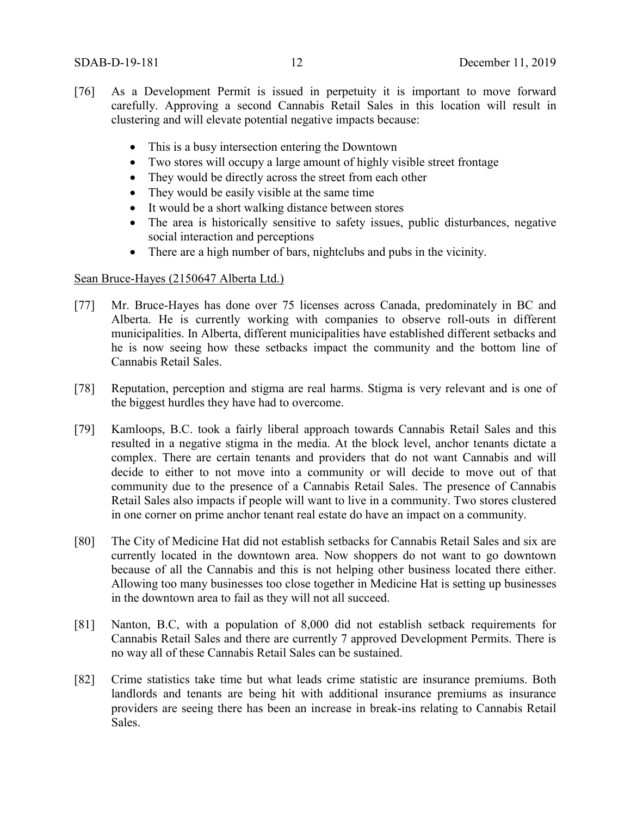- [76] As a Development Permit is issued in perpetuity it is important to move forward carefully. Approving a second Cannabis Retail Sales in this location will result in clustering and will elevate potential negative impacts because:
	- This is a busy intersection entering the Downtown
	- Two stores will occupy a large amount of highly visible street frontage
	- They would be directly across the street from each other
	- They would be easily visible at the same time
	- It would be a short walking distance between stores
	- The area is historically sensitive to safety issues, public disturbances, negative social interaction and perceptions
	- There are a high number of bars, nightclubs and pubs in the vicinity.

#### Sean Bruce-Hayes (2150647 Alberta Ltd.)

- [77] Mr. Bruce-Hayes has done over 75 licenses across Canada, predominately in BC and Alberta. He is currently working with companies to observe roll-outs in different municipalities. In Alberta, different municipalities have established different setbacks and he is now seeing how these setbacks impact the community and the bottom line of Cannabis Retail Sales.
- [78] Reputation, perception and stigma are real harms. Stigma is very relevant and is one of the biggest hurdles they have had to overcome.
- [79] Kamloops, B.C. took a fairly liberal approach towards Cannabis Retail Sales and this resulted in a negative stigma in the media. At the block level, anchor tenants dictate a complex. There are certain tenants and providers that do not want Cannabis and will decide to either to not move into a community or will decide to move out of that community due to the presence of a Cannabis Retail Sales. The presence of Cannabis Retail Sales also impacts if people will want to live in a community. Two stores clustered in one corner on prime anchor tenant real estate do have an impact on a community.
- [80] The City of Medicine Hat did not establish setbacks for Cannabis Retail Sales and six are currently located in the downtown area. Now shoppers do not want to go downtown because of all the Cannabis and this is not helping other business located there either. Allowing too many businesses too close together in Medicine Hat is setting up businesses in the downtown area to fail as they will not all succeed.
- [81] Nanton, B.C, with a population of 8,000 did not establish setback requirements for Cannabis Retail Sales and there are currently 7 approved Development Permits. There is no way all of these Cannabis Retail Sales can be sustained.
- [82] Crime statistics take time but what leads crime statistic are insurance premiums. Both landlords and tenants are being hit with additional insurance premiums as insurance providers are seeing there has been an increase in break-ins relating to Cannabis Retail Sales.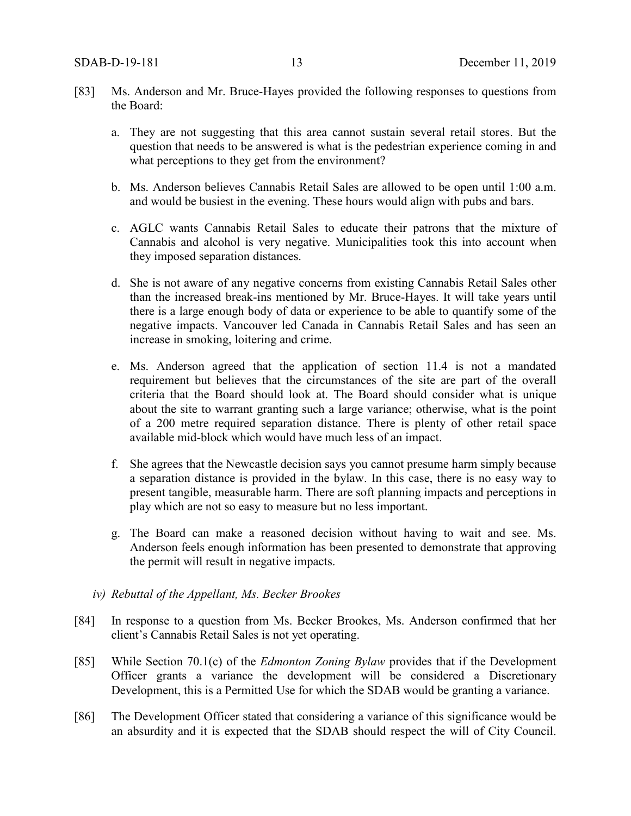- [83] Ms. Anderson and Mr. Bruce-Hayes provided the following responses to questions from the Board:
	- a. They are not suggesting that this area cannot sustain several retail stores. But the question that needs to be answered is what is the pedestrian experience coming in and what perceptions to they get from the environment?
	- b. Ms. Anderson believes Cannabis Retail Sales are allowed to be open until 1:00 a.m. and would be busiest in the evening. These hours would align with pubs and bars.
	- c. AGLC wants Cannabis Retail Sales to educate their patrons that the mixture of Cannabis and alcohol is very negative. Municipalities took this into account when they imposed separation distances.
	- d. She is not aware of any negative concerns from existing Cannabis Retail Sales other than the increased break-ins mentioned by Mr. Bruce-Hayes. It will take years until there is a large enough body of data or experience to be able to quantify some of the negative impacts. Vancouver led Canada in Cannabis Retail Sales and has seen an increase in smoking, loitering and crime.
	- e. Ms. Anderson agreed that the application of section 11.4 is not a mandated requirement but believes that the circumstances of the site are part of the overall criteria that the Board should look at. The Board should consider what is unique about the site to warrant granting such a large variance; otherwise, what is the point of a 200 metre required separation distance. There is plenty of other retail space available mid-block which would have much less of an impact.
	- f. She agrees that the Newcastle decision says you cannot presume harm simply because a separation distance is provided in the bylaw. In this case, there is no easy way to present tangible, measurable harm. There are soft planning impacts and perceptions in play which are not so easy to measure but no less important.
	- g. The Board can make a reasoned decision without having to wait and see. Ms. Anderson feels enough information has been presented to demonstrate that approving the permit will result in negative impacts.
	- *iv) Rebuttal of the Appellant, Ms. Becker Brookes*
- [84] In response to a question from Ms. Becker Brookes, Ms. Anderson confirmed that her client's Cannabis Retail Sales is not yet operating.
- [85] While Section 70.1(c) of the *Edmonton Zoning Bylaw* provides that if the Development Officer grants a variance the development will be considered a Discretionary Development, this is a Permitted Use for which the SDAB would be granting a variance.
- [86] The Development Officer stated that considering a variance of this significance would be an absurdity and it is expected that the SDAB should respect the will of City Council.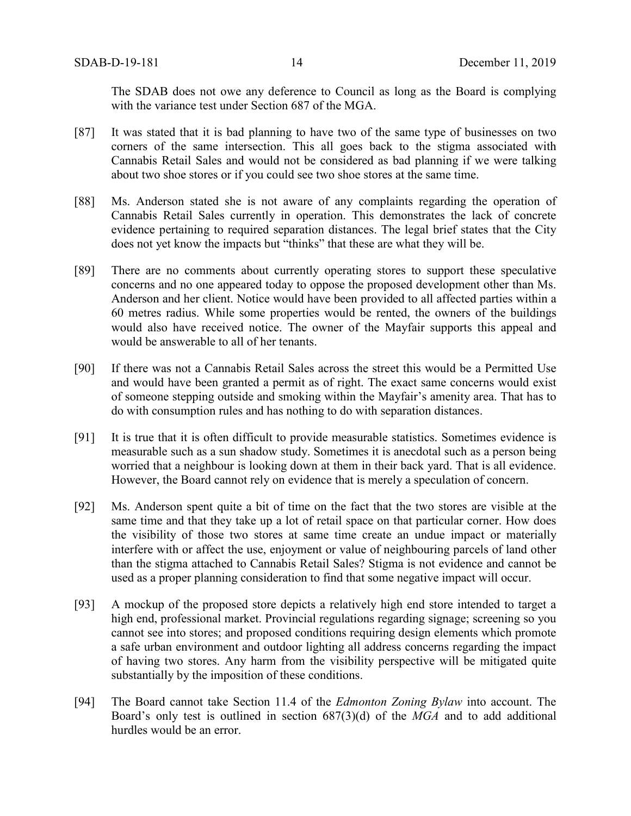The SDAB does not owe any deference to Council as long as the Board is complying with the variance test under Section 687 of the MGA.

- [87] It was stated that it is bad planning to have two of the same type of businesses on two corners of the same intersection. This all goes back to the stigma associated with Cannabis Retail Sales and would not be considered as bad planning if we were talking about two shoe stores or if you could see two shoe stores at the same time.
- [88] Ms. Anderson stated she is not aware of any complaints regarding the operation of Cannabis Retail Sales currently in operation. This demonstrates the lack of concrete evidence pertaining to required separation distances. The legal brief states that the City does not yet know the impacts but "thinks" that these are what they will be.
- [89] There are no comments about currently operating stores to support these speculative concerns and no one appeared today to oppose the proposed development other than Ms. Anderson and her client. Notice would have been provided to all affected parties within a 60 metres radius. While some properties would be rented, the owners of the buildings would also have received notice. The owner of the Mayfair supports this appeal and would be answerable to all of her tenants.
- [90] If there was not a Cannabis Retail Sales across the street this would be a Permitted Use and would have been granted a permit as of right. The exact same concerns would exist of someone stepping outside and smoking within the Mayfair's amenity area. That has to do with consumption rules and has nothing to do with separation distances.
- [91] It is true that it is often difficult to provide measurable statistics. Sometimes evidence is measurable such as a sun shadow study. Sometimes it is anecdotal such as a person being worried that a neighbour is looking down at them in their back yard. That is all evidence. However, the Board cannot rely on evidence that is merely a speculation of concern.
- [92] Ms. Anderson spent quite a bit of time on the fact that the two stores are visible at the same time and that they take up a lot of retail space on that particular corner. How does the visibility of those two stores at same time create an undue impact or materially interfere with or affect the use, enjoyment or value of neighbouring parcels of land other than the stigma attached to Cannabis Retail Sales? Stigma is not evidence and cannot be used as a proper planning consideration to find that some negative impact will occur.
- [93] A mockup of the proposed store depicts a relatively high end store intended to target a high end, professional market. Provincial regulations regarding signage; screening so you cannot see into stores; and proposed conditions requiring design elements which promote a safe urban environment and outdoor lighting all address concerns regarding the impact of having two stores. Any harm from the visibility perspective will be mitigated quite substantially by the imposition of these conditions.
- [94] The Board cannot take Section 11.4 of the *Edmonton Zoning Bylaw* into account. The Board's only test is outlined in section 687(3)(d) of the *MGA* and to add additional hurdles would be an error.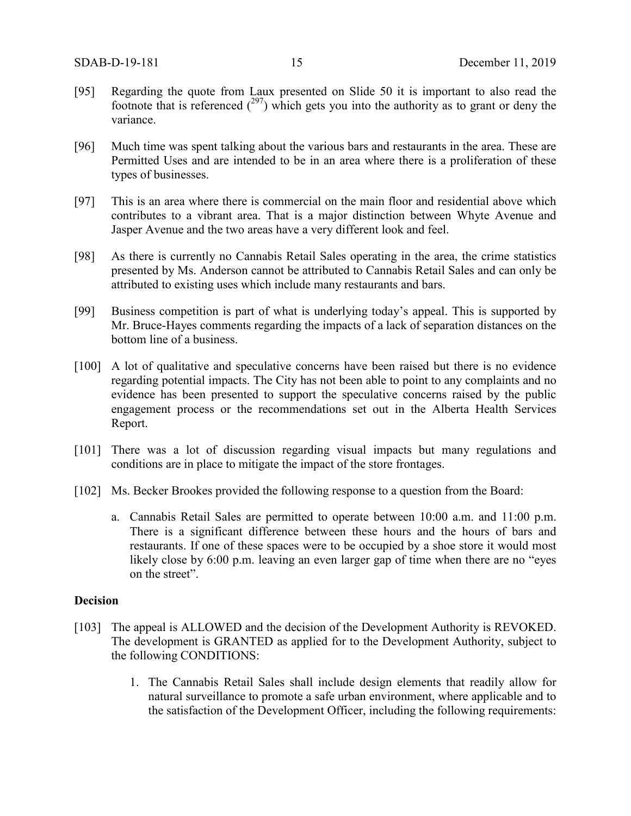- [95] Regarding the quote from Laux presented on Slide 50 it is important to also read the footnote that is referenced  $(297)$  which gets you into the authority as to grant or deny the variance.
- [96] Much time was spent talking about the various bars and restaurants in the area. These are Permitted Uses and are intended to be in an area where there is a proliferation of these types of businesses.
- [97] This is an area where there is commercial on the main floor and residential above which contributes to a vibrant area. That is a major distinction between Whyte Avenue and Jasper Avenue and the two areas have a very different look and feel.
- [98] As there is currently no Cannabis Retail Sales operating in the area, the crime statistics presented by Ms. Anderson cannot be attributed to Cannabis Retail Sales and can only be attributed to existing uses which include many restaurants and bars.
- [99] Business competition is part of what is underlying today's appeal. This is supported by Mr. Bruce-Hayes comments regarding the impacts of a lack of separation distances on the bottom line of a business.
- [100] A lot of qualitative and speculative concerns have been raised but there is no evidence regarding potential impacts. The City has not been able to point to any complaints and no evidence has been presented to support the speculative concerns raised by the public engagement process or the recommendations set out in the Alberta Health Services Report.
- [101] There was a lot of discussion regarding visual impacts but many regulations and conditions are in place to mitigate the impact of the store frontages.
- [102] Ms. Becker Brookes provided the following response to a question from the Board:
	- a. Cannabis Retail Sales are permitted to operate between 10:00 a.m. and 11:00 p.m. There is a significant difference between these hours and the hours of bars and restaurants. If one of these spaces were to be occupied by a shoe store it would most likely close by 6:00 p.m. leaving an even larger gap of time when there are no "eyes" on the street".

#### **Decision**

- [103] The appeal is ALLOWED and the decision of the Development Authority is REVOKED. The development is GRANTED as applied for to the Development Authority, subject to the following CONDITIONS:
	- 1. The Cannabis Retail Sales shall include design elements that readily allow for natural surveillance to promote a safe urban environment, where applicable and to the satisfaction of the Development Officer, including the following requirements: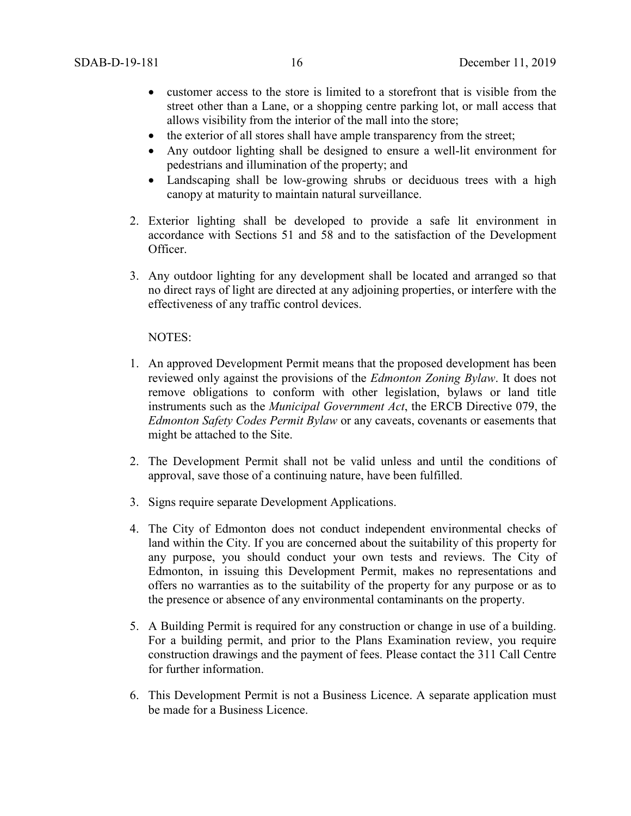- customer access to the store is limited to a storefront that is visible from the street other than a Lane, or a shopping centre parking lot, or mall access that allows visibility from the interior of the mall into the store;
- the exterior of all stores shall have ample transparency from the street;
- Any outdoor lighting shall be designed to ensure a well-lit environment for pedestrians and illumination of the property; and
- Landscaping shall be low-growing shrubs or deciduous trees with a high canopy at maturity to maintain natural surveillance.
- 2. Exterior lighting shall be developed to provide a safe lit environment in accordance with Sections 51 and 58 and to the satisfaction of the Development Officer.
- 3. Any outdoor lighting for any development shall be located and arranged so that no direct rays of light are directed at any adjoining properties, or interfere with the effectiveness of any traffic control devices.

#### NOTES:

- 1. An approved Development Permit means that the proposed development has been reviewed only against the provisions of the *Edmonton Zoning Bylaw*. It does not remove obligations to conform with other legislation, bylaws or land title instruments such as the *Municipal Government Act*, the ERCB Directive 079, the *Edmonton Safety Codes Permit Bylaw* or any caveats, covenants or easements that might be attached to the Site.
- 2. The Development Permit shall not be valid unless and until the conditions of approval, save those of a continuing nature, have been fulfilled.
- 3. Signs require separate Development Applications.
- 4. The City of Edmonton does not conduct independent environmental checks of land within the City. If you are concerned about the suitability of this property for any purpose, you should conduct your own tests and reviews. The City of Edmonton, in issuing this Development Permit, makes no representations and offers no warranties as to the suitability of the property for any purpose or as to the presence or absence of any environmental contaminants on the property.
- 5. A Building Permit is required for any construction or change in use of a building. For a building permit, and prior to the Plans Examination review, you require construction drawings and the payment of fees. Please contact the 311 Call Centre for further information.
- 6. This Development Permit is not a Business Licence. A separate application must be made for a Business Licence.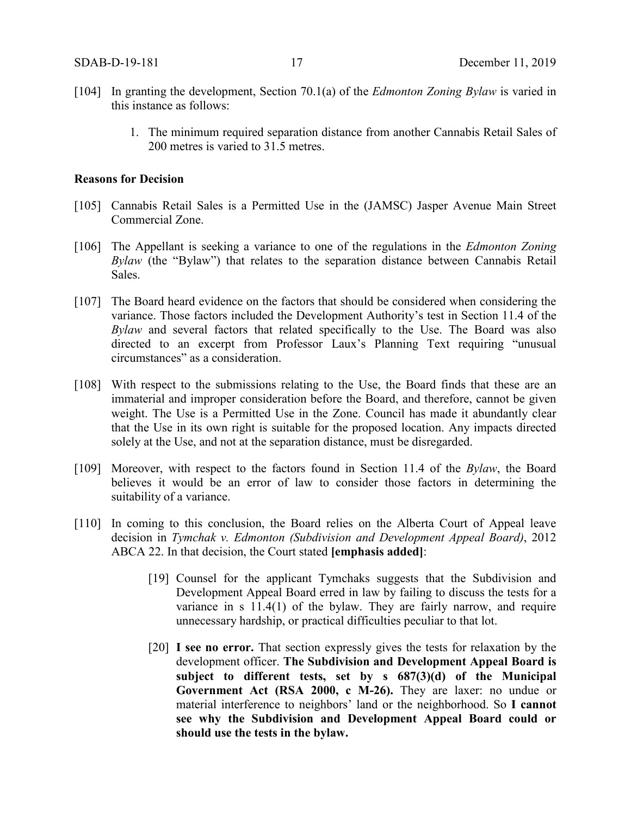- [104] In granting the development, Section 70.1(a) of the *Edmonton Zoning Bylaw* is varied in this instance as follows:
	- 1. The minimum required separation distance from another Cannabis Retail Sales of 200 metres is varied to 31.5 metres.

#### **Reasons for Decision**

- [105] Cannabis Retail Sales is a Permitted Use in the (JAMSC) Jasper Avenue Main Street Commercial Zone.
- [106] The Appellant is seeking a variance to one of the regulations in the *Edmonton Zoning Bylaw* (the "Bylaw") that relates to the separation distance between Cannabis Retail Sales.
- [107] The Board heard evidence on the factors that should be considered when considering the variance. Those factors included the Development Authority's test in Section 11.4 of the *Bylaw* and several factors that related specifically to the Use. The Board was also directed to an excerpt from Professor Laux's Planning Text requiring "unusual circumstances" as a consideration.
- [108] With respect to the submissions relating to the Use, the Board finds that these are an immaterial and improper consideration before the Board, and therefore, cannot be given weight. The Use is a Permitted Use in the Zone. Council has made it abundantly clear that the Use in its own right is suitable for the proposed location. Any impacts directed solely at the Use, and not at the separation distance, must be disregarded.
- [109] Moreover, with respect to the factors found in Section 11.4 of the *Bylaw*, the Board believes it would be an error of law to consider those factors in determining the suitability of a variance.
- [110] In coming to this conclusion, the Board relies on the Alberta Court of Appeal leave decision in *Tymchak v. Edmonton (Subdivision and Development Appeal Board)*, 2012 ABCA 22. In that decision, the Court stated **[emphasis added]**:
	- [19] Counsel for the applicant Tymchaks suggests that the Subdivision and Development Appeal Board erred in law by failing to discuss the tests for a variance in s 11.4(1) of the bylaw. They are fairly narrow, and require unnecessary hardship, or practical difficulties peculiar to that lot.
	- [20] **I see no error.** That section expressly gives the tests for relaxation by the development officer. **The Subdivision and Development Appeal Board is subject to different tests, set by s 687(3)(d) of the Municipal Government Act (RSA 2000, c M-26).** They are laxer: no undue or material interference to neighbors' land or the neighborhood. So **I cannot see why the Subdivision and Development Appeal Board could or should use the tests in the bylaw.**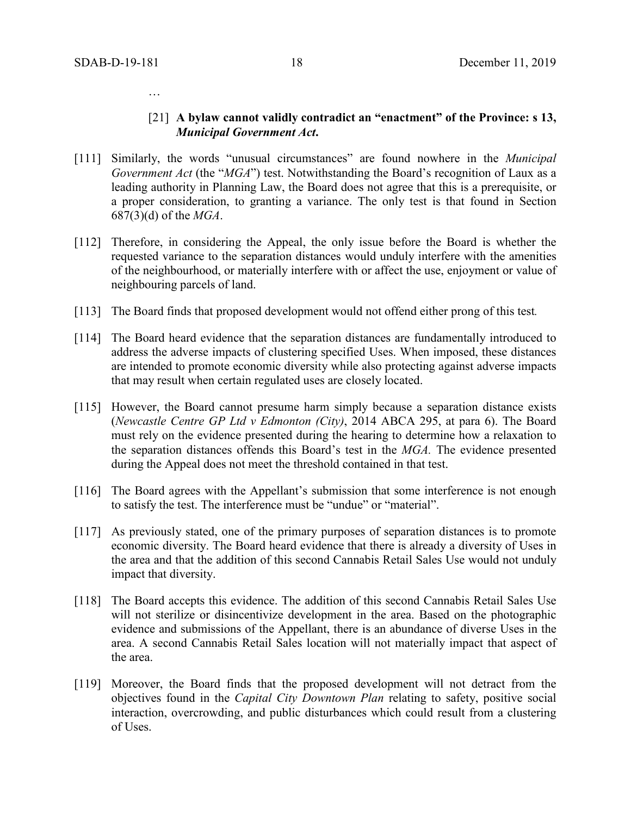…

#### [21] **A bylaw cannot validly contradict an "enactment" of the Province: s 13,**  *Municipal Government Act***.**

- [111] Similarly, the words "unusual circumstances" are found nowhere in the *Municipal Government Act* (the "*MGA*") test. Notwithstanding the Board's recognition of Laux as a leading authority in Planning Law, the Board does not agree that this is a prerequisite, or a proper consideration, to granting a variance. The only test is that found in Section 687(3)(d) of the *MGA*.
- [112] Therefore, in considering the Appeal, the only issue before the Board is whether the requested variance to the separation distances would unduly interfere with the amenities of the neighbourhood, or materially interfere with or affect the use, enjoyment or value of neighbouring parcels of land.
- [113] The Board finds that proposed development would not offend either prong of this test*.*
- [114] The Board heard evidence that the separation distances are fundamentally introduced to address the adverse impacts of clustering specified Uses. When imposed, these distances are intended to promote economic diversity while also protecting against adverse impacts that may result when certain regulated uses are closely located.
- [115] However, the Board cannot presume harm simply because a separation distance exists (*Newcastle Centre GP Ltd v Edmonton (City)*, 2014 ABCA 295, at para 6). The Board must rely on the evidence presented during the hearing to determine how a relaxation to the separation distances offends this Board's test in the *MGA.* The evidence presented during the Appeal does not meet the threshold contained in that test.
- [116] The Board agrees with the Appellant's submission that some interference is not enough to satisfy the test. The interference must be "undue" or "material".
- [117] As previously stated, one of the primary purposes of separation distances is to promote economic diversity. The Board heard evidence that there is already a diversity of Uses in the area and that the addition of this second Cannabis Retail Sales Use would not unduly impact that diversity.
- [118] The Board accepts this evidence. The addition of this second Cannabis Retail Sales Use will not sterilize or disincentivize development in the area. Based on the photographic evidence and submissions of the Appellant, there is an abundance of diverse Uses in the area. A second Cannabis Retail Sales location will not materially impact that aspect of the area.
- [119] Moreover, the Board finds that the proposed development will not detract from the objectives found in the *Capital City Downtown Plan* relating to safety, positive social interaction, overcrowding, and public disturbances which could result from a clustering of Uses.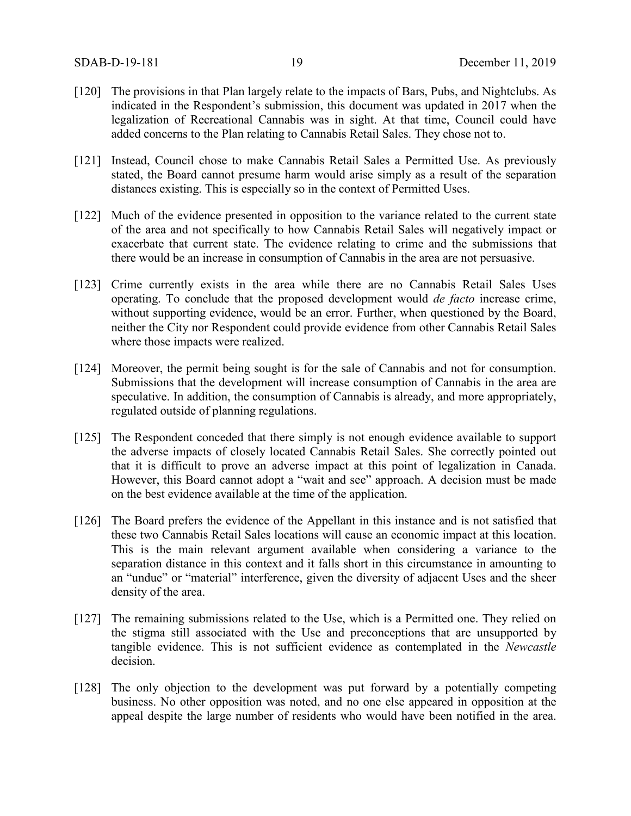- [120] The provisions in that Plan largely relate to the impacts of Bars, Pubs, and Nightclubs. As indicated in the Respondent's submission, this document was updated in 2017 when the legalization of Recreational Cannabis was in sight. At that time, Council could have added concerns to the Plan relating to Cannabis Retail Sales. They chose not to.
- [121] Instead, Council chose to make Cannabis Retail Sales a Permitted Use. As previously stated, the Board cannot presume harm would arise simply as a result of the separation distances existing. This is especially so in the context of Permitted Uses.
- [122] Much of the evidence presented in opposition to the variance related to the current state of the area and not specifically to how Cannabis Retail Sales will negatively impact or exacerbate that current state. The evidence relating to crime and the submissions that there would be an increase in consumption of Cannabis in the area are not persuasive.
- [123] Crime currently exists in the area while there are no Cannabis Retail Sales Uses operating. To conclude that the proposed development would *de facto* increase crime, without supporting evidence, would be an error. Further, when questioned by the Board, neither the City nor Respondent could provide evidence from other Cannabis Retail Sales where those impacts were realized.
- [124] Moreover, the permit being sought is for the sale of Cannabis and not for consumption. Submissions that the development will increase consumption of Cannabis in the area are speculative. In addition, the consumption of Cannabis is already, and more appropriately, regulated outside of planning regulations.
- [125] The Respondent conceded that there simply is not enough evidence available to support the adverse impacts of closely located Cannabis Retail Sales. She correctly pointed out that it is difficult to prove an adverse impact at this point of legalization in Canada. However, this Board cannot adopt a "wait and see" approach. A decision must be made on the best evidence available at the time of the application.
- [126] The Board prefers the evidence of the Appellant in this instance and is not satisfied that these two Cannabis Retail Sales locations will cause an economic impact at this location. This is the main relevant argument available when considering a variance to the separation distance in this context and it falls short in this circumstance in amounting to an "undue" or "material" interference, given the diversity of adjacent Uses and the sheer density of the area.
- [127] The remaining submissions related to the Use, which is a Permitted one. They relied on the stigma still associated with the Use and preconceptions that are unsupported by tangible evidence. This is not sufficient evidence as contemplated in the *Newcastle*  decision.
- [128] The only objection to the development was put forward by a potentially competing business. No other opposition was noted, and no one else appeared in opposition at the appeal despite the large number of residents who would have been notified in the area.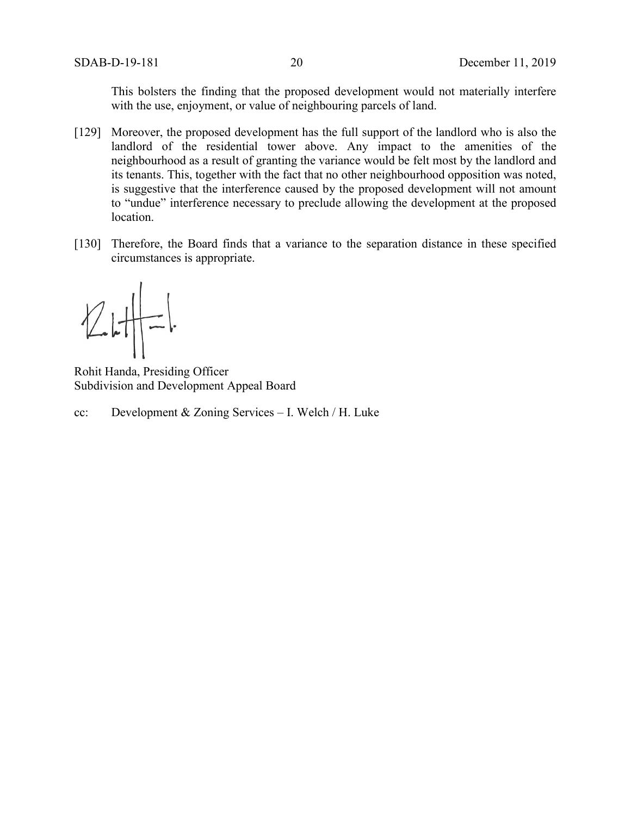This bolsters the finding that the proposed development would not materially interfere with the use, enjoyment, or value of neighbouring parcels of land.

- [129] Moreover, the proposed development has the full support of the landlord who is also the landlord of the residential tower above. Any impact to the amenities of the neighbourhood as a result of granting the variance would be felt most by the landlord and its tenants. This, together with the fact that no other neighbourhood opposition was noted, is suggestive that the interference caused by the proposed development will not amount to "undue" interference necessary to preclude allowing the development at the proposed location.
- [130] Therefore, the Board finds that a variance to the separation distance in these specified circumstances is appropriate.

Rohit Handa, Presiding Officer Subdivision and Development Appeal Board

cc: Development & Zoning Services – I. Welch / H. Luke